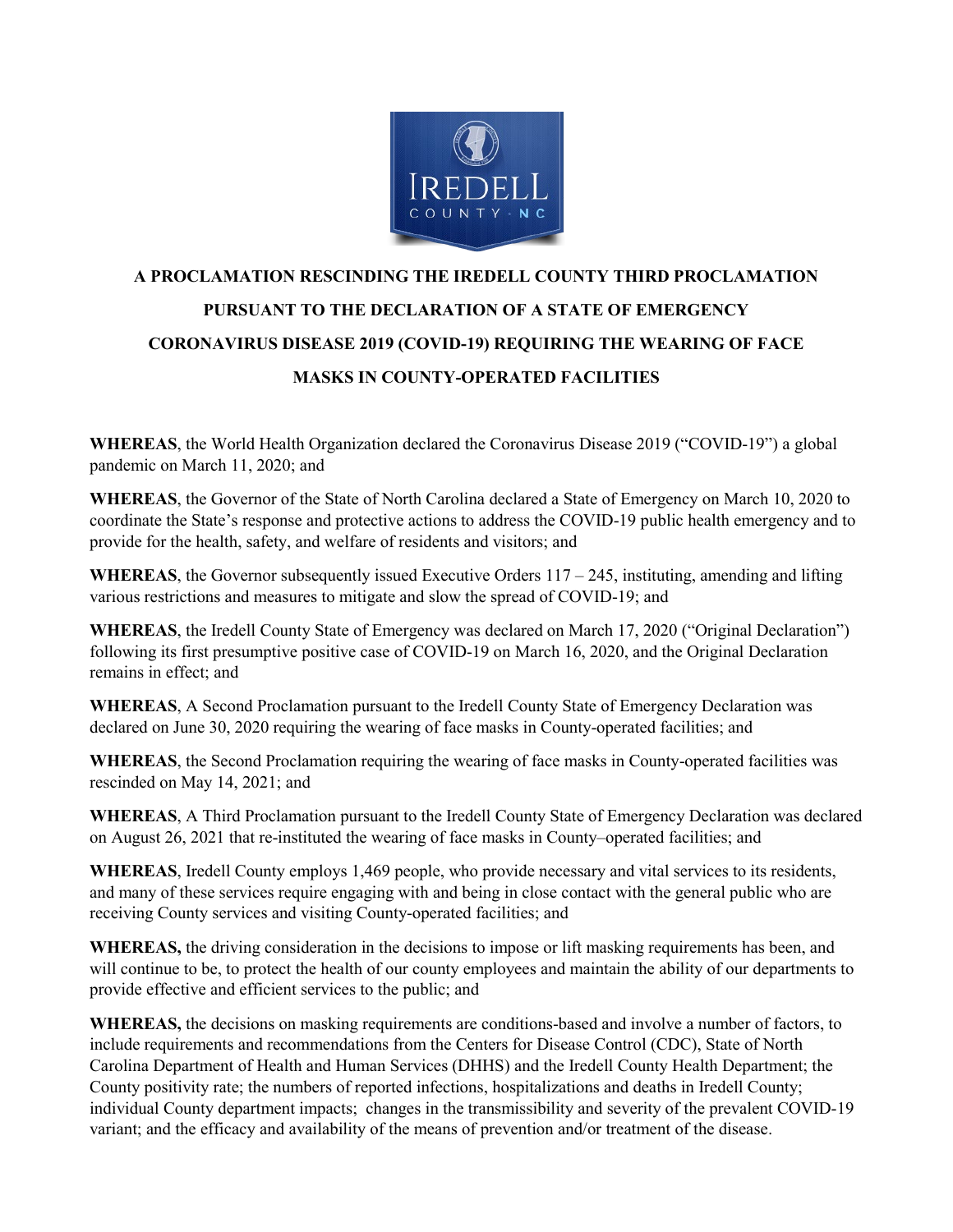

## **A PROCLAMATION RESCINDING THE IREDELL COUNTY THIRD PROCLAMATION PURSUANT TO THE DECLARATION OF A STATE OF EMERGENCY CORONAVIRUS DISEASE 2019 (COVID-19) REQUIRING THE WEARING OF FACE MASKS IN COUNTY-OPERATED FACILITIES**

**WHEREAS**, the World Health Organization declared the Coronavirus Disease 2019 ("COVID-19") a global pandemic on March 11, 2020; and

**WHEREAS**, the Governor of the State of North Carolina declared a State of Emergency on March 10, 2020 to coordinate the State's response and protective actions to address the COVID-19 public health emergency and to provide for the health, safety, and welfare of residents and visitors; and

**WHEREAS**, the Governor subsequently issued Executive Orders  $117 - 245$ , instituting, amending and lifting various restrictions and measures to mitigate and slow the spread of COVID-19; and

**WHEREAS**, the Iredell County State of Emergency was declared on March 17, 2020 ("Original Declaration") following its first presumptive positive case of COVID-19 on March 16, 2020, and the Original Declaration remains in effect; and

**WHEREAS**, A Second Proclamation pursuant to the Iredell County State of Emergency Declaration was declared on June 30, 2020 requiring the wearing of face masks in County-operated facilities; and

**WHEREAS**, the Second Proclamation requiring the wearing of face masks in County-operated facilities was rescinded on May 14, 2021; and

**WHEREAS**, A Third Proclamation pursuant to the Iredell County State of Emergency Declaration was declared on August 26, 2021 that re-instituted the wearing of face masks in County–operated facilities; and

**WHEREAS**, Iredell County employs 1,469 people, who provide necessary and vital services to its residents, and many of these services require engaging with and being in close contact with the general public who are receiving County services and visiting County-operated facilities; and

**WHEREAS,** the driving consideration in the decisions to impose or lift masking requirements has been, and will continue to be, to protect the health of our county employees and maintain the ability of our departments to provide effective and efficient services to the public; and

**WHEREAS,** the decisions on masking requirements are conditions-based and involve a number of factors, to include requirements and recommendations from the Centers for Disease Control (CDC), State of North Carolina Department of Health and Human Services (DHHS) and the Iredell County Health Department; the County positivity rate; the numbers of reported infections, hospitalizations and deaths in Iredell County; individual County department impacts; changes in the transmissibility and severity of the prevalent COVID-19 variant; and the efficacy and availability of the means of prevention and/or treatment of the disease.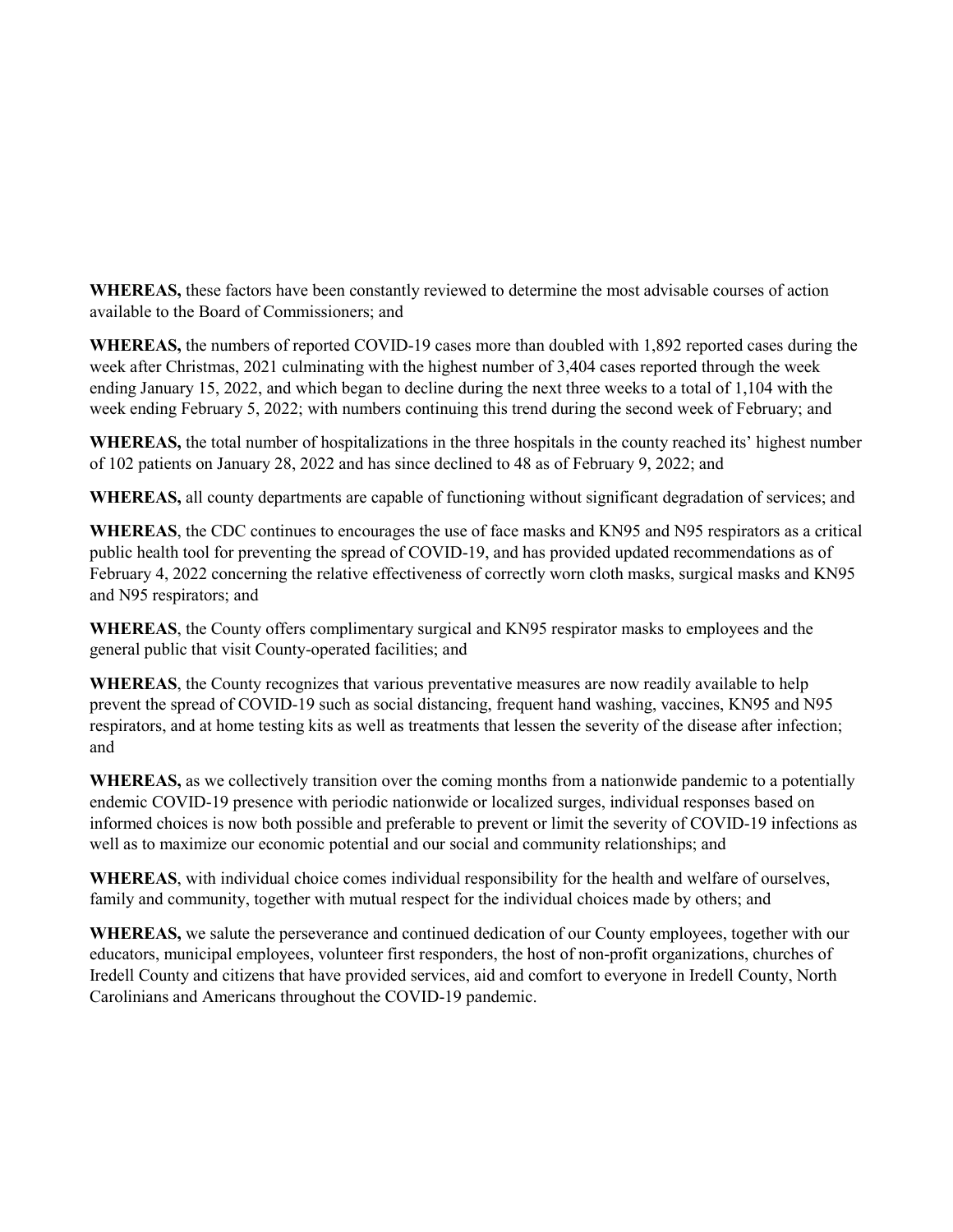**WHEREAS,** these factors have been constantly reviewed to determine the most advisable courses of action available to the Board of Commissioners; and

**WHEREAS,** the numbers of reported COVID-19 cases more than doubled with 1,892 reported cases during the week after Christmas, 2021 culminating with the highest number of 3,404 cases reported through the week ending January 15, 2022, and which began to decline during the next three weeks to a total of 1,104 with the week ending February 5, 2022; with numbers continuing this trend during the second week of February; and

**WHEREAS,** the total number of hospitalizations in the three hospitals in the county reached its' highest number of 102 patients on January 28, 2022 and has since declined to 48 as of February 9, 2022; and

**WHEREAS,** all county departments are capable of functioning without significant degradation of services; and

**WHEREAS**, the CDC continues to encourages the use of face masks and KN95 and N95 respirators as a critical public health tool for preventing the spread of COVID-19, and has provided updated recommendations as of February 4, 2022 concerning the relative effectiveness of correctly worn cloth masks, surgical masks and KN95 and N95 respirators; and

**WHEREAS**, the County offers complimentary surgical and KN95 respirator masks to employees and the general public that visit County-operated facilities; and

**WHEREAS**, the County recognizes that various preventative measures are now readily available to help prevent the spread of COVID-19 such as social distancing, frequent hand washing, vaccines, KN95 and N95 respirators, and at home testing kits as well as treatments that lessen the severity of the disease after infection; and

**WHEREAS,** as we collectively transition over the coming months from a nationwide pandemic to a potentially endemic COVID-19 presence with periodic nationwide or localized surges, individual responses based on informed choices is now both possible and preferable to prevent or limit the severity of COVID-19 infections as well as to maximize our economic potential and our social and community relationships; and

**WHEREAS**, with individual choice comes individual responsibility for the health and welfare of ourselves, family and community, together with mutual respect for the individual choices made by others; and

**WHEREAS,** we salute the perseverance and continued dedication of our County employees, together with our educators, municipal employees, volunteer first responders, the host of non-profit organizations, churches of Iredell County and citizens that have provided services, aid and comfort to everyone in Iredell County, North Carolinians and Americans throughout the COVID-19 pandemic.